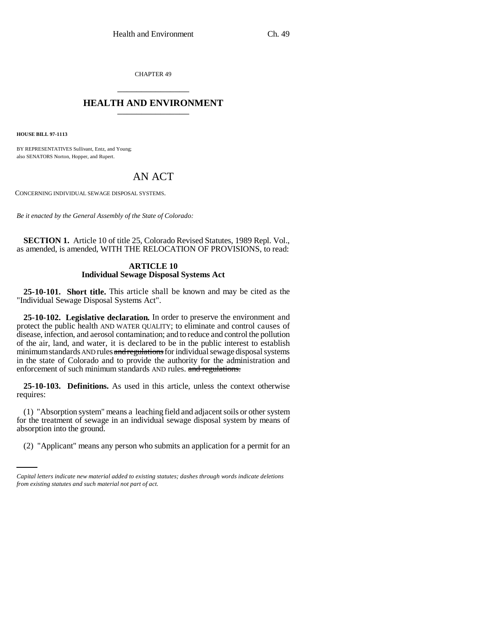CHAPTER 49 \_\_\_\_\_\_\_\_\_\_\_\_\_\_\_

## **HEALTH AND ENVIRONMENT** \_\_\_\_\_\_\_\_\_\_\_\_\_\_\_

**HOUSE BILL 97-1113**

BY REPRESENTATIVES Sullivant, Entz, and Young; also SENATORS Norton, Hopper, and Rupert.

# AN ACT

CONCERNING INDIVIDUAL SEWAGE DISPOSAL SYSTEMS.

*Be it enacted by the General Assembly of the State of Colorado:*

**SECTION 1.** Article 10 of title 25, Colorado Revised Statutes, 1989 Repl. Vol., as amended, is amended, WITH THE RELOCATION OF PROVISIONS, to read:

### **ARTICLE 10 Individual Sewage Disposal Systems Act**

**25-10-101. Short title.** This article shall be known and may be cited as the "Individual Sewage Disposal Systems Act".

**25-10-102. Legislative declaration.** In order to preserve the environment and protect the public health AND WATER QUALITY; to eliminate and control causes of disease, infection, and aerosol contamination; and to reduce and control the pollution of the air, land, and water, it is declared to be in the public interest to establish minimum standards AND rules and regulations for individual sewage disposal systems in the state of Colorado and to provide the authority for the administration and enforcement of such minimum standards AND rules. and regulations.

**25-10-103. Definitions.** As used in this article, unless the context otherwise requires:

absorption into the ground. (1) "Absorption system" means a leaching field and adjacent soils or other system for the treatment of sewage in an individual sewage disposal system by means of

(2) "Applicant" means any person who submits an application for a permit for an

*Capital letters indicate new material added to existing statutes; dashes through words indicate deletions from existing statutes and such material not part of act.*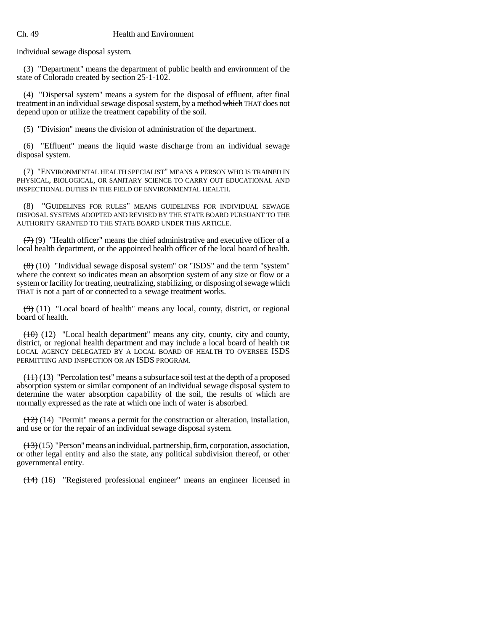individual sewage disposal system.

(3) "Department" means the department of public health and environment of the state of Colorado created by section 25-1-102.

(4) "Dispersal system" means a system for the disposal of effluent, after final treatment in an individual sewage disposal system, by a method which THAT does not depend upon or utilize the treatment capability of the soil.

(5) "Division" means the division of administration of the department.

(6) "Effluent" means the liquid waste discharge from an individual sewage disposal system.

(7) "ENVIRONMENTAL HEALTH SPECIALIST" MEANS A PERSON WHO IS TRAINED IN PHYSICAL, BIOLOGICAL, OR SANITARY SCIENCE TO CARRY OUT EDUCATIONAL AND INSPECTIONAL DUTIES IN THE FIELD OF ENVIRONMENTAL HEALTH.

(8) "GUIDELINES FOR RULES" MEANS GUIDELINES FOR INDIVIDUAL SEWAGE DISPOSAL SYSTEMS ADOPTED AND REVISED BY THE STATE BOARD PURSUANT TO THE AUTHORITY GRANTED TO THE STATE BOARD UNDER THIS ARTICLE.

 $(7)$  (9) "Health officer" means the chief administrative and executive officer of a local health department, or the appointed health officer of the local board of health.

(8) (10) "Individual sewage disposal system" OR "ISDS" and the term "system" where the context so indicates mean an absorption system of any size or flow or a system or facility for treating, neutralizing, stabilizing, or disposing of sewage which THAT is not a part of or connected to a sewage treatment works.

 $(9)$  (11) "Local board of health" means any local, county, district, or regional board of health.

 $(10)$  (12) "Local health department" means any city, county, city and county, district, or regional health department and may include a local board of health OR LOCAL AGENCY DELEGATED BY A LOCAL BOARD OF HEALTH TO OVERSEE ISDS PERMITTING AND INSPECTION OR AN ISDS PROGRAM.

 $(11)(13)$  "Percolation test" means a subsurface soil test at the depth of a proposed absorption system or similar component of an individual sewage disposal system to determine the water absorption capability of the soil, the results of which are normally expressed as the rate at which one inch of water is absorbed.

(12) (14) "Permit" means a permit for the construction or alteration, installation, and use or for the repair of an individual sewage disposal system.

 $(13)(15)$  "Person" means an individual, partnership, firm, corporation, association, or other legal entity and also the state, any political subdivision thereof, or other governmental entity.

(14) (16) "Registered professional engineer" means an engineer licensed in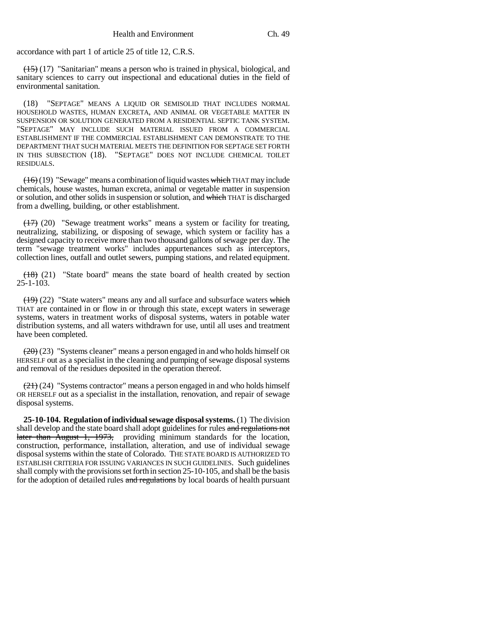accordance with part 1 of article 25 of title 12, C.R.S.

(15) (17) "Sanitarian" means a person who is trained in physical, biological, and sanitary sciences to carry out inspectional and educational duties in the field of environmental sanitation.

(18) "SEPTAGE" MEANS A LIQUID OR SEMISOLID THAT INCLUDES NORMAL HOUSEHOLD WASTES, HUMAN EXCRETA, AND ANIMAL OR VEGETABLE MATTER IN SUSPENSION OR SOLUTION GENERATED FROM A RESIDENTIAL SEPTIC TANK SYSTEM. "SEPTAGE" MAY INCLUDE SUCH MATERIAL ISSUED FROM A COMMERCIAL ESTABLISHMENT IF THE COMMERCIAL ESTABLISHMENT CAN DEMONSTRATE TO THE DEPARTMENT THAT SUCH MATERIAL MEETS THE DEFINITION FOR SEPTAGE SET FORTH IN THIS SUBSECTION (18). "SEPTAGE" DOES NOT INCLUDE CHEMICAL TOILET RESIDUALS.

 $(16)(19)$  "Sewage" means a combination of liquid wastes which THAT may include chemicals, house wastes, human excreta, animal or vegetable matter in suspension or solution, and other solids in suspension or solution, and which THAT is discharged from a dwelling, building, or other establishment.

(17) (20) "Sewage treatment works" means a system or facility for treating, neutralizing, stabilizing, or disposing of sewage, which system or facility has a designed capacity to receive more than two thousand gallons of sewage per day. The term "sewage treatment works" includes appurtenances such as interceptors, collection lines, outfall and outlet sewers, pumping stations, and related equipment.

 $(18)$  (21) "State board" means the state board of health created by section 25-1-103.

 $(19)$  (22) "State waters" means any and all surface and subsurface waters which THAT are contained in or flow in or through this state, except waters in sewerage systems, waters in treatment works of disposal systems, waters in potable water distribution systems, and all waters withdrawn for use, until all uses and treatment have been completed.

 $(20)(23)$  "Systems cleaner" means a person engaged in and who holds himself OR HERSELF out as a specialist in the cleaning and pumping of sewage disposal systems and removal of the residues deposited in the operation thereof.

 $(21)(24)$  "Systems contractor" means a person engaged in and who holds himself OR HERSELF out as a specialist in the installation, renovation, and repair of sewage disposal systems.

**25-10-104. Regulation of individual sewage disposal systems.** (1) The division shall develop and the state board shall adopt guidelines for rules and regulations not later than August 1, 1973, providing minimum standards for the location, construction, performance, installation, alteration, and use of individual sewage disposal systems within the state of Colorado. THE STATE BOARD IS AUTHORIZED TO ESTABLISH CRITERIA FOR ISSUING VARIANCES IN SUCH GUIDELINES. Such guidelines shall comply with the provisions set forth in section 25-10-105, and shall be the basis for the adoption of detailed rules and regulations by local boards of health pursuant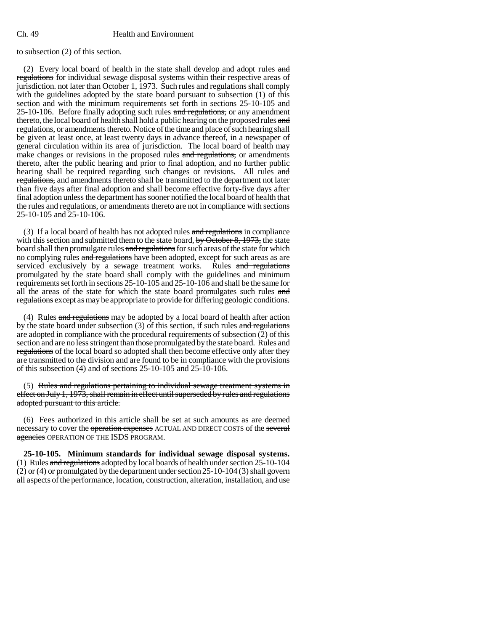to subsection (2) of this section.

(2) Every local board of health in the state shall develop and adopt rules  $\alpha$ nd regulations for individual sewage disposal systems within their respective areas of jurisdiction. not later than October 1, 1973. Such rules and regulations shall comply with the guidelines adopted by the state board pursuant to subsection (1) of this section and with the minimum requirements set forth in sections 25-10-105 and 25-10-106. Before finally adopting such rules and regulations, or any amendment thereto, the local board of health shall hold a public hearing on the proposed rules and regulations, or amendments thereto. Notice of the time and place of such hearing shall be given at least once, at least twenty days in advance thereof, in a newspaper of general circulation within its area of jurisdiction. The local board of health may make changes or revisions in the proposed rules and regulations, or amendments thereto, after the public hearing and prior to final adoption, and no further public hearing shall be required regarding such changes or revisions. All rules and regulations, and amendments thereto shall be transmitted to the department not later than five days after final adoption and shall become effective forty-five days after final adoption unless the department has sooner notified the local board of health that the rules and regulations, or amendments thereto are not in compliance with sections 25-10-105 and 25-10-106.

(3) If a local board of health has not adopted rules and regulations in compliance with this section and submitted them to the state board, by October 8, 1973, the state board shall then promulgate rules and regulations for such areas of the state for which no complying rules and regulations have been adopted, except for such areas as are serviced exclusively by a sewage treatment works. Rules and regulations promulgated by the state board shall comply with the guidelines and minimum requirements set forth in sections 25-10-105 and 25-10-106 and shall be the same for all the areas of the state for which the state board promulgates such rules and regulations except as may be appropriate to provide for differing geologic conditions.

(4) Rules and regulations may be adopted by a local board of health after action by the state board under subsection  $(3)$  of this section, if such rules and regulations are adopted in compliance with the procedural requirements of subsection (2) of this section and are no less stringent than those promulgated by the state board. Rules and regulations of the local board so adopted shall then become effective only after they are transmitted to the division and are found to be in compliance with the provisions of this subsection (4) and of sections 25-10-105 and 25-10-106.

(5) Rules and regulations pertaining to individual sewage treatment systems in effect on July 1, 1973, shall remain in effect until superseded by rules and regulations adopted pursuant to this article.

(6) Fees authorized in this article shall be set at such amounts as are deemed necessary to cover the operation expenses ACTUAL AND DIRECT COSTS of the several agencies OPERATION OF THE ISDS PROGRAM.

**25-10-105. Minimum standards for individual sewage disposal systems.** (1) Rules and regulations adopted by local boards of health under section 25-10-104 (2) or (4) or promulgated by the department under section 25-10-104 (3) shall govern all aspects of the performance, location, construction, alteration, installation, and use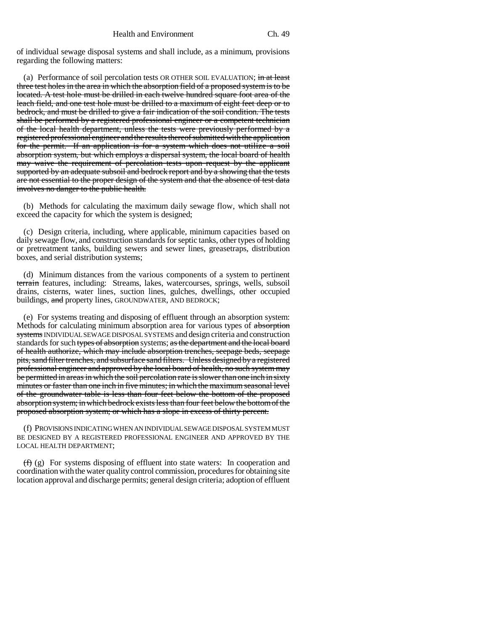of individual sewage disposal systems and shall include, as a minimum, provisions regarding the following matters:

(a) Performance of soil percolation tests OR OTHER SOIL EVALUATION;  $\frac{1}{2}$  in at least three test holes in the area in which the absorption field of a proposed system is to be located. A test hole must be drilled in each twelve hundred square foot area of the leach field, and one test hole must be drilled to a maximum of eight feet deep or to bedrock, and must be drilled to give a fair indication of the soil condition. The tests shall be performed by a registered professional engineer or a competent technician of the local health department, unless the tests were previously performed by a registered professional engineer and the results thereof submitted with the application for the permit. If an application is for a system which does not utilize a soil absorption system, but which employs a dispersal system, the local board of health may waive the requirement of percolation tests upon request by the applicant supported by an adequate subsoil and bedrock report and by a showing that the tests are not essential to the proper design of the system and that the absence of test data involves no danger to the public health.

(b) Methods for calculating the maximum daily sewage flow, which shall not exceed the capacity for which the system is designed;

(c) Design criteria, including, where applicable, minimum capacities based on daily sewage flow, and construction standards for septic tanks, other types of holding or pretreatment tanks, building sewers and sewer lines, greasetraps, distribution boxes, and serial distribution systems;

(d) Minimum distances from the various components of a system to pertinent terrain features, including: Streams, lakes, watercourses, springs, wells, subsoil drains, cisterns, water lines, suction lines, gulches, dwellings, other occupied buildings, and property lines, GROUNDWATER, AND BEDROCK;

(e) For systems treating and disposing of effluent through an absorption system: Methods for calculating minimum absorption area for various types of absorption systems INDIVIDUAL SEWAGE DISPOSAL SYSTEMS and design criteria and construction standards for such types of absorption systems; as the department and the local board of health authorize, which may include absorption trenches, seepage beds, seepage pits, sand filter trenches, and subsurface sand filters. Unless designed by a registered professional engineer and approved by the local board of health, no such system may be permitted in areas in which the soil percolation rate is slower than one inch in sixty minutes or faster than one inch in five minutes; in which the maximum seasonal level of the groundwater table is less than four feet below the bottom of the proposed absorption system; in which bedrock exists less than four feet below the bottom of the proposed absorption system; or which has a slope in excess of thirty percent.

(f) PROVISIONS INDICATING WHEN AN INDIVIDUAL SEWAGE DISPOSAL SYSTEM MUST BE DESIGNED BY A REGISTERED PROFESSIONAL ENGINEER AND APPROVED BY THE LOCAL HEALTH DEPARTMENT;

(f) (g) For systems disposing of effluent into state waters: In cooperation and coordination with the water quality control commission, procedures for obtaining site location approval and discharge permits; general design criteria; adoption of effluent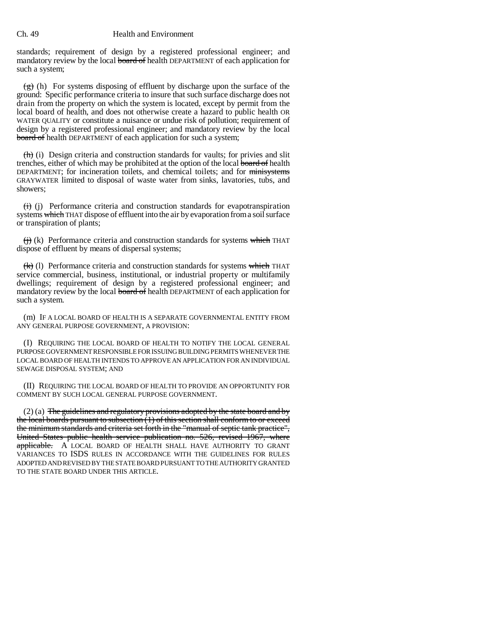standards; requirement of design by a registered professional engineer; and mandatory review by the local board of health DEPARTMENT of each application for such a system;

 $\left(\frac{g}{g}\right)$  (h) For systems disposing of effluent by discharge upon the surface of the ground: Specific performance criteria to insure that such surface discharge does not drain from the property on which the system is located, except by permit from the local board of health, and does not otherwise create a hazard to public health OR WATER QUALITY or constitute a nuisance or undue risk of pollution; requirement of design by a registered professional engineer; and mandatory review by the local board of health DEPARTMENT of each application for such a system;

 $(h)$  (i) Design criteria and construction standards for vaults; for privies and slit trenches, either of which may be prohibited at the option of the local board of health DEPARTMENT; for incineration toilets, and chemical toilets; and for minisystems GRAYWATER limited to disposal of waste water from sinks, lavatories, tubs, and showers;

 $(i)$  (i) Performance criteria and construction standards for evapotranspiration systems which THAT dispose of effluent into the air by evaporation from a soil surface or transpiration of plants;

 $(f)$  (k) Performance criteria and construction standards for systems which THAT dispose of effluent by means of dispersal systems;

 $(k)$  (1) Performance criteria and construction standards for systems which THAT service commercial, business, institutional, or industrial property or multifamily dwellings; requirement of design by a registered professional engineer; and mandatory review by the local board of health DEPARTMENT of each application for such a system.

(m) IF A LOCAL BOARD OF HEALTH IS A SEPARATE GOVERNMENTAL ENTITY FROM ANY GENERAL PURPOSE GOVERNMENT, A PROVISION:

(I) REQUIRING THE LOCAL BOARD OF HEALTH TO NOTIFY THE LOCAL GENERAL PURPOSE GOVERNMENT RESPONSIBLE FOR ISSUING BUILDING PERMITS WHENEVER THE LOCAL BOARD OF HEALTH INTENDS TO APPROVE AN APPLICATION FOR AN INDIVIDUAL SEWAGE DISPOSAL SYSTEM; AND

(II) REQUIRING THE LOCAL BOARD OF HEALTH TO PROVIDE AN OPPORTUNITY FOR COMMENT BY SUCH LOCAL GENERAL PURPOSE GOVERNMENT.

 $(2)$  (a) The guidelines and regulatory provisions adopted by the state board and by the local boards pursuant to subsection  $(1)$  of this section shall conform to or exceed the minimum standards and criteria set forth in the "manual of septic tank practice", United States public health service publication no. 526, revised 1967, where applicable. A LOCAL BOARD OF HEALTH SHALL HAVE AUTHORITY TO GRANT VARIANCES TO ISDS RULES IN ACCORDANCE WITH THE GUIDELINES FOR RULES ADOPTED AND REVISED BY THE STATE BOARD PURSUANT TO THE AUTHORITY GRANTED TO THE STATE BOARD UNDER THIS ARTICLE.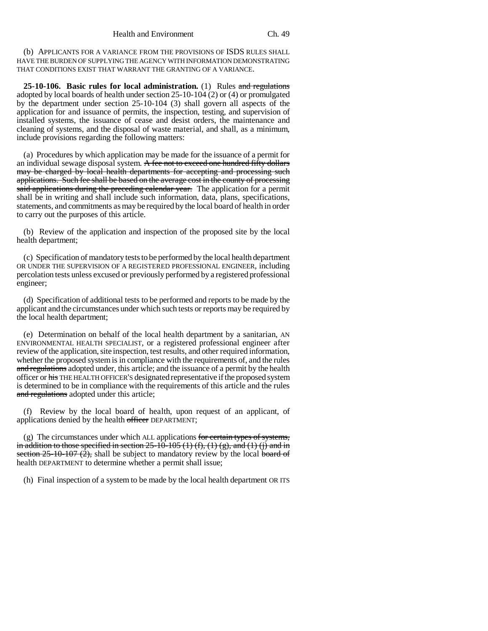(b) APPLICANTS FOR A VARIANCE FROM THE PROVISIONS OF ISDS RULES SHALL HAVE THE BURDEN OF SUPPLYING THE AGENCY WITH INFORMATION DEMONSTRATING THAT CONDITIONS EXIST THAT WARRANT THE GRANTING OF A VARIANCE.

**25-10-106. Basic rules for local administration.** (1) Rules and regulations adopted by local boards of health under section 25-10-104 (2) or (4) or promulgated by the department under section 25-10-104 (3) shall govern all aspects of the application for and issuance of permits, the inspection, testing, and supervision of installed systems, the issuance of cease and desist orders, the maintenance and cleaning of systems, and the disposal of waste material, and shall, as a minimum, include provisions regarding the following matters:

(a) Procedures by which application may be made for the issuance of a permit for an individual sewage disposal system. A fee not to exceed one hundred fifty dollars may be charged by local health departments for accepting and processing such applications. Such fee shall be based on the average cost in the county of processing said applications during the preceding calendar year. The application for a permit shall be in writing and shall include such information, data, plans, specifications, statements, and commitments as may be required by the local board of health in order to carry out the purposes of this article.

(b) Review of the application and inspection of the proposed site by the local health department;

(c) Specification of mandatory tests to be performed by the local health department OR UNDER THE SUPERVISION OF A REGISTERED PROFESSIONAL ENGINEER, including percolation tests unless excused or previously performed by a registered professional engineer;

(d) Specification of additional tests to be performed and reports to be made by the applicant and the circumstances under which such tests or reports may be required by the local health department;

(e) Determination on behalf of the local health department by a sanitarian, AN ENVIRONMENTAL HEALTH SPECIALIST, or a registered professional engineer after review of the application, site inspection, test results, and other required information, whether the proposed system is in compliance with the requirements of, and the rules and regulations adopted under, this article; and the issuance of a permit by the health officer or his THE HEALTH OFFICER'S designated representative if the proposed system is determined to be in compliance with the requirements of this article and the rules and regulations adopted under this article;

(f) Review by the local board of health, upon request of an applicant, of applications denied by the health officer DEPARTMENT;

(g) The circumstances under which ALL applications for certain types of systems, in addition to those specified in section  $25-10-105$  (1) (f), (1) (g), and (1) (j) and in section  $25$ -10-107 (2), shall be subject to mandatory review by the local board of health DEPARTMENT to determine whether a permit shall issue;

(h) Final inspection of a system to be made by the local health department OR ITS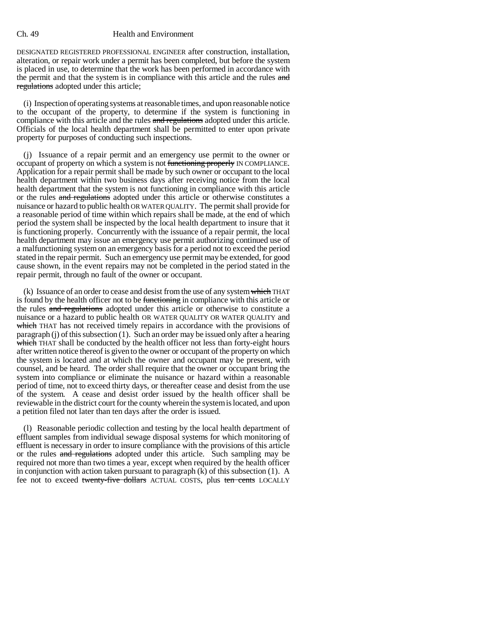DESIGNATED REGISTERED PROFESSIONAL ENGINEER after construction, installation, alteration, or repair work under a permit has been completed, but before the system is placed in use, to determine that the work has been performed in accordance with the permit and that the system is in compliance with this article and the rules and regulations adopted under this article;

(i) Inspection of operating systems at reasonable times, and upon reasonable notice to the occupant of the property, to determine if the system is functioning in compliance with this article and the rules and regulations adopted under this article. Officials of the local health department shall be permitted to enter upon private property for purposes of conducting such inspections.

(j) Issuance of a repair permit and an emergency use permit to the owner or occupant of property on which a system is not functioning properly IN COMPLIANCE. Application for a repair permit shall be made by such owner or occupant to the local health department within two business days after receiving notice from the local health department that the system is not functioning in compliance with this article or the rules and regulations adopted under this article or otherwise constitutes a nuisance or hazard to public health OR WATER QUALITY. The permit shall provide for a reasonable period of time within which repairs shall be made, at the end of which period the system shall be inspected by the local health department to insure that it is functioning properly. Concurrently with the issuance of a repair permit, the local health department may issue an emergency use permit authorizing continued use of a malfunctioning system on an emergency basis for a period not to exceed the period stated in the repair permit. Such an emergency use permit may be extended, for good cause shown, in the event repairs may not be completed in the period stated in the repair permit, through no fault of the owner or occupant.

 $(k)$  Issuance of an order to cease and desist from the use of any system which THAT is found by the health officer not to be functioning in compliance with this article or the rules and regulations adopted under this article or otherwise to constitute a nuisance or a hazard to public health OR WATER QUALITY OR WATER QUALITY and which THAT has not received timely repairs in accordance with the provisions of paragraph (j) of this subsection (1). Such an order may be issued only after a hearing which THAT shall be conducted by the health officer not less than forty-eight hours after written notice thereof is given to the owner or occupant of the property on which the system is located and at which the owner and occupant may be present, with counsel, and be heard. The order shall require that the owner or occupant bring the system into compliance or eliminate the nuisance or hazard within a reasonable period of time, not to exceed thirty days, or thereafter cease and desist from the use of the system. A cease and desist order issued by the health officer shall be reviewable in the district court for the county wherein the system is located, and upon a petition filed not later than ten days after the order is issued.

(l) Reasonable periodic collection and testing by the local health department of effluent samples from individual sewage disposal systems for which monitoring of effluent is necessary in order to insure compliance with the provisions of this article or the rules and regulations adopted under this article. Such sampling may be required not more than two times a year, except when required by the health officer in conjunction with action taken pursuant to paragraph  $(k)$  of this subsection (1). A fee not to exceed twenty-five dollars ACTUAL COSTS, plus ten cents LOCALLY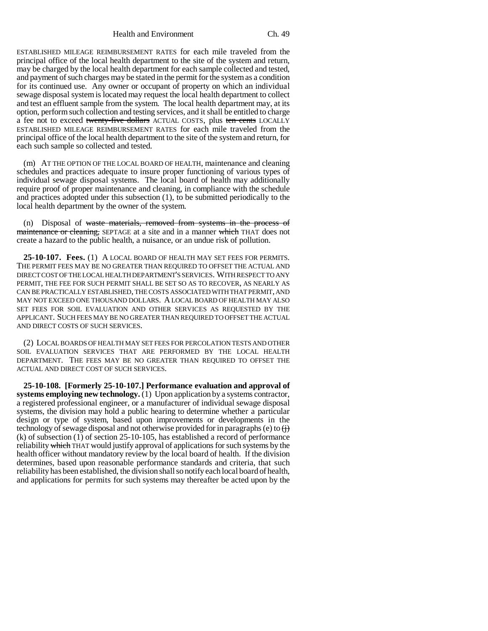Health and Environment Ch. 49

ESTABLISHED MILEAGE REIMBURSEMENT RATES for each mile traveled from the principal office of the local health department to the site of the system and return, may be charged by the local health department for each sample collected and tested, and payment of such charges may be stated in the permit for the system as a condition for its continued use. Any owner or occupant of property on which an individual sewage disposal system is located may request the local health department to collect and test an effluent sample from the system. The local health department may, at its option, perform such collection and testing services, and it shall be entitled to charge a fee not to exceed twenty-five dollars ACTUAL COSTS, plus ten cents LOCALLY ESTABLISHED MILEAGE REIMBURSEMENT RATES for each mile traveled from the principal office of the local health department to the site of the system and return, for each such sample so collected and tested.

(m) AT THE OPTION OF THE LOCAL BOARD OF HEALTH, maintenance and cleaning schedules and practices adequate to insure proper functioning of various types of individual sewage disposal systems. The local board of health may additionally require proof of proper maintenance and cleaning, in compliance with the schedule and practices adopted under this subsection (1), to be submitted periodically to the local health department by the owner of the system.

(n) Disposal of waste materials, removed from systems in the process of maintenance or cleaning, SEPTAGE at a site and in a manner which THAT does not create a hazard to the public health, a nuisance, or an undue risk of pollution.

**25-10-107. Fees.** (1) A LOCAL BOARD OF HEALTH MAY SET FEES FOR PERMITS. THE PERMIT FEES MAY BE NO GREATER THAN REQUIRED TO OFFSET THE ACTUAL AND DIRECT COST OF THE LOCAL HEALTH DEPARTMENT'S SERVICES. WITH RESPECT TO ANY PERMIT, THE FEE FOR SUCH PERMIT SHALL BE SET SO AS TO RECOVER, AS NEARLY AS CAN BE PRACTICALLY ESTABLISHED, THE COSTS ASSOCIATED WITH THAT PERMIT, AND MAY NOT EXCEED ONE THOUSAND DOLLARS. A LOCAL BOARD OF HEALTH MAY ALSO SET FEES FOR SOIL EVALUATION AND OTHER SERVICES AS REQUESTED BY THE APPLICANT. SUCH FEES MAY BE NO GREATER THAN REQUIRED TO OFFSET THE ACTUAL AND DIRECT COSTS OF SUCH SERVICES.

(2) LOCAL BOARDS OF HEALTH MAY SET FEES FOR PERCOLATION TESTS AND OTHER SOIL EVALUATION SERVICES THAT ARE PERFORMED BY THE LOCAL HEALTH DEPARTMENT. THE FEES MAY BE NO GREATER THAN REQUIRED TO OFFSET THE ACTUAL AND DIRECT COST OF SUCH SERVICES.

**25-10-108. [Formerly 25-10-107.] Performance evaluation and approval of systems employing new technology.** (1) Upon application by a systems contractor, a registered professional engineer, or a manufacturer of individual sewage disposal systems, the division may hold a public hearing to determine whether a particular design or type of system, based upon improvements or developments in the technology of sewage disposal and not otherwise provided for in paragraphs (e) to  $\overrightarrow{H}$ (k) of subsection (1) of section 25-10-105, has established a record of performance reliability which THAT would justify approval of applications for such systems by the health officer without mandatory review by the local board of health. If the division determines, based upon reasonable performance standards and criteria, that such reliability has been established, the division shall so notify each local board of health, and applications for permits for such systems may thereafter be acted upon by the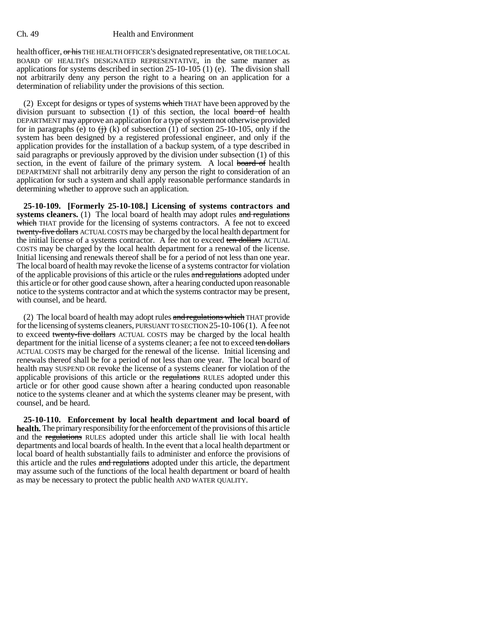health officer, or his THE HEALTH OFFICER'S designated representative, OR THE LOCAL BOARD OF HEALTH'S DESIGNATED REPRESENTATIVE, in the same manner as applications for systems described in section 25-10-105 (1) (e). The division shall not arbitrarily deny any person the right to a hearing on an application for a determination of reliability under the provisions of this section.

(2) Except for designs or types of systems which THAT have been approved by the division pursuant to subsection  $(1)$  of this section, the local board of health DEPARTMENT may approve an application for a type of system not otherwise provided for in paragraphs (e) to  $\overleftrightarrow{H}$  (k) of subsection (1) of section 25-10-105, only if the system has been designed by a registered professional engineer, and only if the application provides for the installation of a backup system, of a type described in said paragraphs or previously approved by the division under subsection (1) of this section, in the event of failure of the primary system. A local board of health DEPARTMENT shall not arbitrarily deny any person the right to consideration of an application for such a system and shall apply reasonable performance standards in determining whether to approve such an application.

**25-10-109. [Formerly 25-10-108.] Licensing of systems contractors and systems cleaners.** (1) The local board of health may adopt rules and regulations which THAT provide for the licensing of systems contractors. A fee not to exceed twenty-five dollars ACTUAL COSTS may be charged by the local health department for the initial license of a systems contractor. A fee not to exceed ten dollars ACTUAL COSTS may be charged by the local health department for a renewal of the license. Initial licensing and renewals thereof shall be for a period of not less than one year. The local board of health may revoke the license of a systems contractor for violation of the applicable provisions of this article or the rules and regulations adopted under this article or for other good cause shown, after a hearing conducted upon reasonable notice to the systems contractor and at which the systems contractor may be present, with counsel, and be heard.

(2) The local board of health may adopt rules and regulations which THAT provide for the licensing of systems cleaners, PURSUANT TO SECTION 25-10-106 (1). A fee not to exceed twenty-five dollars ACTUAL COSTS may be charged by the local health department for the initial license of a systems cleaner; a fee not to exceed ten dollars ACTUAL COSTS may be charged for the renewal of the license. Initial licensing and renewals thereof shall be for a period of not less than one year. The local board of health may SUSPEND OR revoke the license of a systems cleaner for violation of the applicable provisions of this article or the regulations RULES adopted under this article or for other good cause shown after a hearing conducted upon reasonable notice to the systems cleaner and at which the systems cleaner may be present, with counsel, and be heard.

**25-10-110. Enforcement by local health department and local board of health.** The primary responsibility for the enforcement of the provisions of this article and the regulations RULES adopted under this article shall lie with local health departments and local boards of health. In the event that a local health department or local board of health substantially fails to administer and enforce the provisions of this article and the rules and regulations adopted under this article, the department may assume such of the functions of the local health department or board of health as may be necessary to protect the public health AND WATER QUALITY.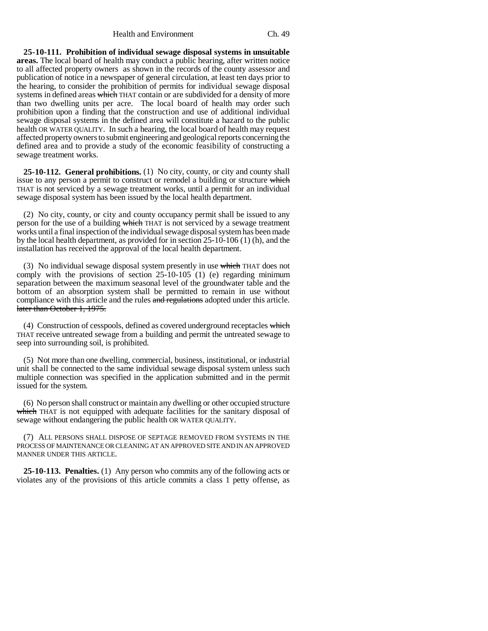**25-10-111. Prohibition of individual sewage disposal systems in unsuitable areas.** The local board of health may conduct a public hearing, after written notice to all affected property owners as shown in the records of the county assessor and publication of notice in a newspaper of general circulation, at least ten days prior to the hearing, to consider the prohibition of permits for individual sewage disposal systems in defined areas which THAT contain or are subdivided for a density of more than two dwelling units per acre. The local board of health may order such prohibition upon a finding that the construction and use of additional individual sewage disposal systems in the defined area will constitute a hazard to the public health OR WATER QUALITY. In such a hearing, the local board of health may request affected property owners to submit engineering and geological reports concerning the defined area and to provide a study of the economic feasibility of constructing a sewage treatment works.

**25-10-112. General prohibitions.** (1) No city, county, or city and county shall issue to any person a permit to construct or remodel a building or structure which THAT is not serviced by a sewage treatment works, until a permit for an individual sewage disposal system has been issued by the local health department.

(2) No city, county, or city and county occupancy permit shall be issued to any person for the use of a building which THAT is not serviced by a sewage treatment works until a final inspection of the individual sewage disposal system has been made by the local health department, as provided for in section 25-10-106 (1) (h), and the installation has received the approval of the local health department.

(3) No individual sewage disposal system presently in use  $\frac{1}{2}$  which THAT does not comply with the provisions of section 25-10-105 (1) (e) regarding minimum separation between the maximum seasonal level of the groundwater table and the bottom of an absorption system shall be permitted to remain in use without compliance with this article and the rules and regulations adopted under this article. later than October 1, 1975.

(4) Construction of cesspools, defined as covered underground receptacles which THAT receive untreated sewage from a building and permit the untreated sewage to seep into surrounding soil, is prohibited.

(5) Not more than one dwelling, commercial, business, institutional, or industrial unit shall be connected to the same individual sewage disposal system unless such multiple connection was specified in the application submitted and in the permit issued for the system.

(6) No person shall construct or maintain any dwelling or other occupied structure which THAT is not equipped with adequate facilities for the sanitary disposal of sewage without endangering the public health OR WATER QUALITY.

(7) ALL PERSONS SHALL DISPOSE OF SEPTAGE REMOVED FROM SYSTEMS IN THE PROCESS OF MAINTENANCE OR CLEANING AT AN APPROVED SITE AND IN AN APPROVED MANNER UNDER THIS ARTICLE.

**25-10-113. Penalties.** (1) Any person who commits any of the following acts or violates any of the provisions of this article commits a class 1 petty offense, as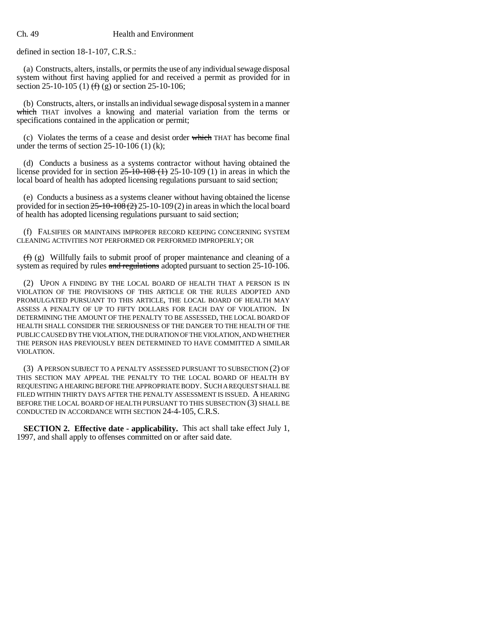defined in section 18-1-107, C.R.S.:

(a) Constructs, alters, installs, or permits the use of any individual sewage disposal system without first having applied for and received a permit as provided for in section 25-10-105 (1)  $(f)(g)$  or section 25-10-106;

(b) Constructs, alters, or installs an individual sewage disposal system in a manner which THAT involves a knowing and material variation from the terms or specifications contained in the application or permit;

(c) Violates the terms of a cease and desist order which THAT has become final under the terms of section  $25-10-106$  (1) (k);

(d) Conducts a business as a systems contractor without having obtained the license provided for in section  $25-10-108$  (1) 25-10-109 (1) in areas in which the local board of health has adopted licensing regulations pursuant to said section;

(e) Conducts a business as a systems cleaner without having obtained the license provided for in section  $25-10-108(2)$  25-10-109(2) in areas in which the local board of health has adopted licensing regulations pursuant to said section;

(f) FALSIFIES OR MAINTAINS IMPROPER RECORD KEEPING CONCERNING SYSTEM CLEANING ACTIVITIES NOT PERFORMED OR PERFORMED IMPROPERLY; OR

 $(f)$  (g) Willfully fails to submit proof of proper maintenance and cleaning of a system as required by rules and regulations adopted pursuant to section 25-10-106.

(2) UPON A FINDING BY THE LOCAL BOARD OF HEALTH THAT A PERSON IS IN VIOLATION OF THE PROVISIONS OF THIS ARTICLE OR THE RULES ADOPTED AND PROMULGATED PURSUANT TO THIS ARTICLE, THE LOCAL BOARD OF HEALTH MAY ASSESS A PENALTY OF UP TO FIFTY DOLLARS FOR EACH DAY OF VIOLATION. IN DETERMINING THE AMOUNT OF THE PENALTY TO BE ASSESSED, THE LOCAL BOARD OF HEALTH SHALL CONSIDER THE SERIOUSNESS OF THE DANGER TO THE HEALTH OF THE PUBLIC CAUSED BY THE VIOLATION, THE DURATION OF THE VIOLATION, AND WHETHER THE PERSON HAS PREVIOUSLY BEEN DETERMINED TO HAVE COMMITTED A SIMILAR VIOLATION.

(3) A PERSON SUBJECT TO A PENALTY ASSESSED PURSUANT TO SUBSECTION (2) OF THIS SECTION MAY APPEAL THE PENALTY TO THE LOCAL BOARD OF HEALTH BY REQUESTING A HEARING BEFORE THE APPROPRIATE BODY. SUCH A REQUEST SHALL BE FILED WITHIN THIRTY DAYS AFTER THE PENALTY ASSESSMENT IS ISSUED. A HEARING BEFORE THE LOCAL BOARD OF HEALTH PURSUANT TO THIS SUBSECTION (3) SHALL BE CONDUCTED IN ACCORDANCE WITH SECTION 24-4-105, C.R.S.

**SECTION 2. Effective date - applicability.** This act shall take effect July 1, 1997, and shall apply to offenses committed on or after said date.